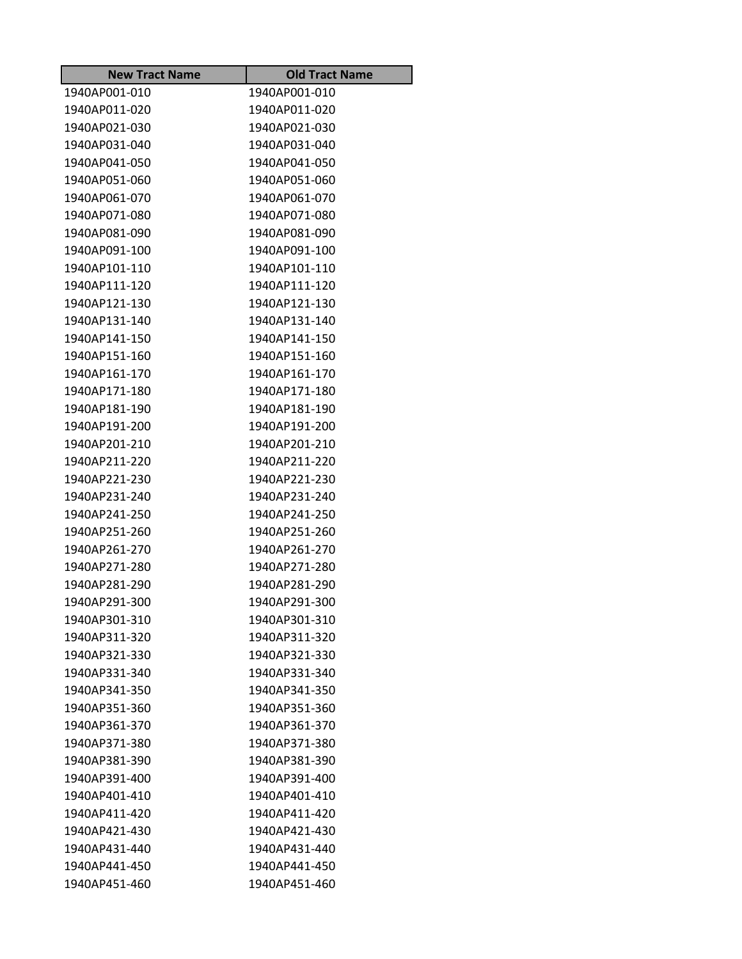| <b>New Tract Name</b> | <b>Old Tract Name</b> |
|-----------------------|-----------------------|
| 1940AP001-010         | 1940AP001-010         |
| 1940AP011-020         | 1940AP011-020         |
| 1940AP021-030         | 1940AP021-030         |
| 1940AP031-040         | 1940AP031-040         |
| 1940AP041-050         | 1940AP041-050         |
| 1940AP051-060         | 1940AP051-060         |
| 1940AP061-070         | 1940AP061-070         |
| 1940AP071-080         | 1940AP071-080         |
| 1940AP081-090         | 1940AP081-090         |
| 1940AP091-100         | 1940AP091-100         |
| 1940AP101-110         | 1940AP101-110         |
| 1940AP111-120         | 1940AP111-120         |
| 1940AP121-130         | 1940AP121-130         |
| 1940AP131-140         | 1940AP131-140         |
| 1940AP141-150         | 1940AP141-150         |
| 1940AP151-160         | 1940AP151-160         |
| 1940AP161-170         | 1940AP161-170         |
| 1940AP171-180         | 1940AP171-180         |
| 1940AP181-190         | 1940AP181-190         |
| 1940AP191-200         | 1940AP191-200         |
| 1940AP201-210         | 1940AP201-210         |
| 1940AP211-220         | 1940AP211-220         |
| 1940AP221-230         | 1940AP221-230         |
| 1940AP231-240         | 1940AP231-240         |
| 1940AP241-250         | 1940AP241-250         |
| 1940AP251-260         | 1940AP251-260         |
| 1940AP261-270         | 1940AP261-270         |
| 1940AP271-280         | 1940AP271-280         |
| 1940AP281-290         | 1940AP281-290         |
| 1940AP291-300         | 1940AP291-300         |
| 1940AP301-310         | 1940AP301-310         |
| 1940AP311-320         | 1940AP311-320         |
| 1940AP321-330         | 1940AP321-330         |
| 1940AP331-340         | 1940AP331-340         |
| 1940AP341-350         | 1940AP341-350         |
| 1940AP351-360         | 1940AP351-360         |
| 1940AP361-370         | 1940AP361-370         |
| 1940AP371-380         | 1940AP371-380         |
| 1940AP381-390         | 1940AP381-390         |
| 1940AP391-400         | 1940AP391-400         |
| 1940AP401-410         | 1940AP401-410         |
| 1940AP411-420         | 1940AP411-420         |
| 1940AP421-430         | 1940AP421-430         |
| 1940AP431-440         | 1940AP431-440         |
| 1940AP441-450         | 1940AP441-450         |
| 1940AP451-460         | 1940AP451-460         |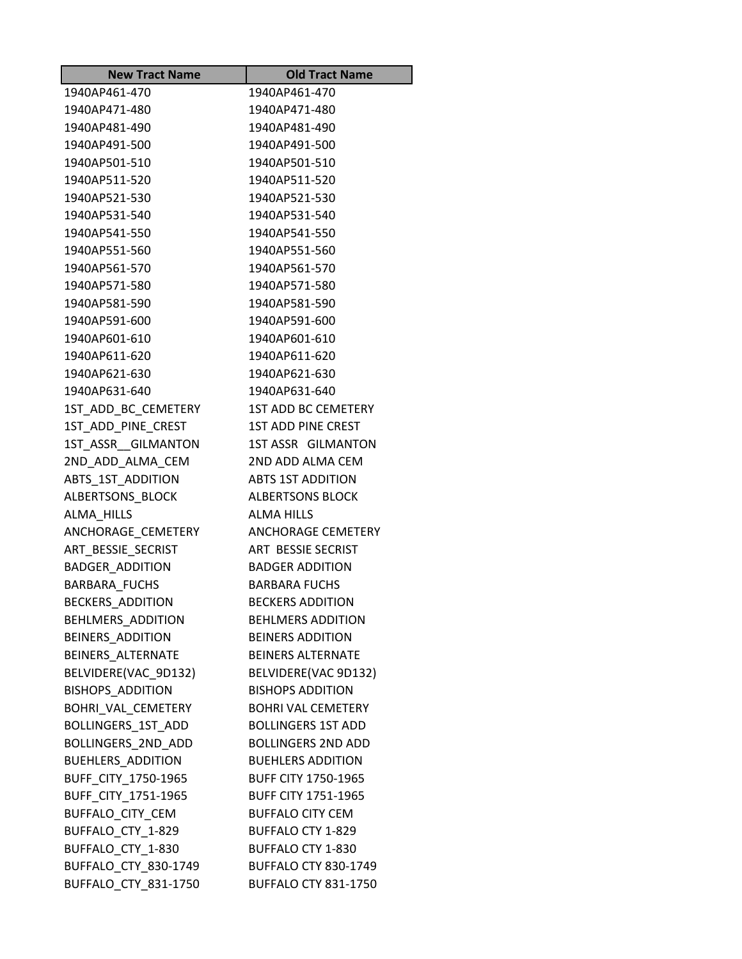| <b>New Tract Name</b>     | <b>Old Tract Name</b>       |
|---------------------------|-----------------------------|
| 1940AP461-470             | 1940AP461-470               |
| 1940AP471-480             | 1940AP471-480               |
| 1940AP481-490             | 1940AP481-490               |
| 1940AP491-500             | 1940AP491-500               |
| 1940AP501-510             | 1940AP501-510               |
| 1940AP511-520             | 1940AP511-520               |
| 1940AP521-530             | 1940AP521-530               |
| 1940AP531-540             | 1940AP531-540               |
| 1940AP541-550             | 1940AP541-550               |
| 1940AP551-560             | 1940AP551-560               |
| 1940AP561-570             | 1940AP561-570               |
| 1940AP571-580             | 1940AP571-580               |
| 1940AP581-590             | 1940AP581-590               |
| 1940AP591-600             | 1940AP591-600               |
| 1940AP601-610             | 1940AP601-610               |
| 1940AP611-620             | 1940AP611-620               |
| 1940AP621-630             | 1940AP621-630               |
| 1940AP631-640             | 1940AP631-640               |
| 1ST_ADD_BC_CEMETERY       | 1ST ADD BC CEMETERY         |
| 1ST ADD PINE CREST        | <b>1ST ADD PINE CREST</b>   |
| 1ST ASSR GILMANTON        | 1ST ASSR GILMANTON          |
| 2ND_ADD_ALMA_CEM          | 2ND ADD ALMA CEM            |
| ABTS_1ST_ADDITION         | <b>ABTS 1ST ADDITION</b>    |
| ALBERTSONS_BLOCK          | <b>ALBERTSONS BLOCK</b>     |
| ALMA HILLS                | <b>ALMA HILLS</b>           |
| ANCHORAGE_CEMETERY        | ANCHORAGE CEMETERY          |
| ART BESSIE SECRIST        | ART BESSIE SECRIST          |
| <b>BADGER ADDITION</b>    | <b>BADGER ADDITION</b>      |
| BARBARA_FUCHS             | <b>BARBARA FUCHS</b>        |
| <b>BECKERS ADDITION</b>   | <b>BECKERS ADDITION</b>     |
| BEHLMERS_ADDITION         | <b>BEHLMERS ADDITION</b>    |
| <b>BEINERS ADDITION</b>   | <b>BEINERS ADDITION</b>     |
| BEINERS ALTERNATE         | <b>BEINERS ALTERNATE</b>    |
| BELVIDERE(VAC_9D132)      | BELVIDERE(VAC 9D132)        |
| <b>BISHOPS ADDITION</b>   | <b>BISHOPS ADDITION</b>     |
| BOHRI_VAL_CEMETERY        | <b>BOHRI VAL CEMETERY</b>   |
| <b>BOLLINGERS 1ST ADD</b> | <b>BOLLINGERS 1ST ADD</b>   |
| BOLLINGERS_2ND_ADD        | <b>BOLLINGERS 2ND ADD</b>   |
| <b>BUEHLERS ADDITION</b>  | <b>BUEHLERS ADDITION</b>    |
| BUFF_CITY_1750-1965       | <b>BUFF CITY 1750-1965</b>  |
| BUFF_CITY_1751-1965       | <b>BUFF CITY 1751-1965</b>  |
| BUFFALO CITY CEM          | <b>BUFFALO CITY CEM</b>     |
| BUFFALO CTY 1-829         | BUFFALO CTY 1-829           |
| BUFFALO_CTY_1-830         | BUFFALO CTY 1-830           |
| BUFFALO_CTY_830-1749      | <b>BUFFALO CTY 830-1749</b> |
| BUFFALO_CTY_831-1750      | <b>BUFFALO CTY 831-1750</b> |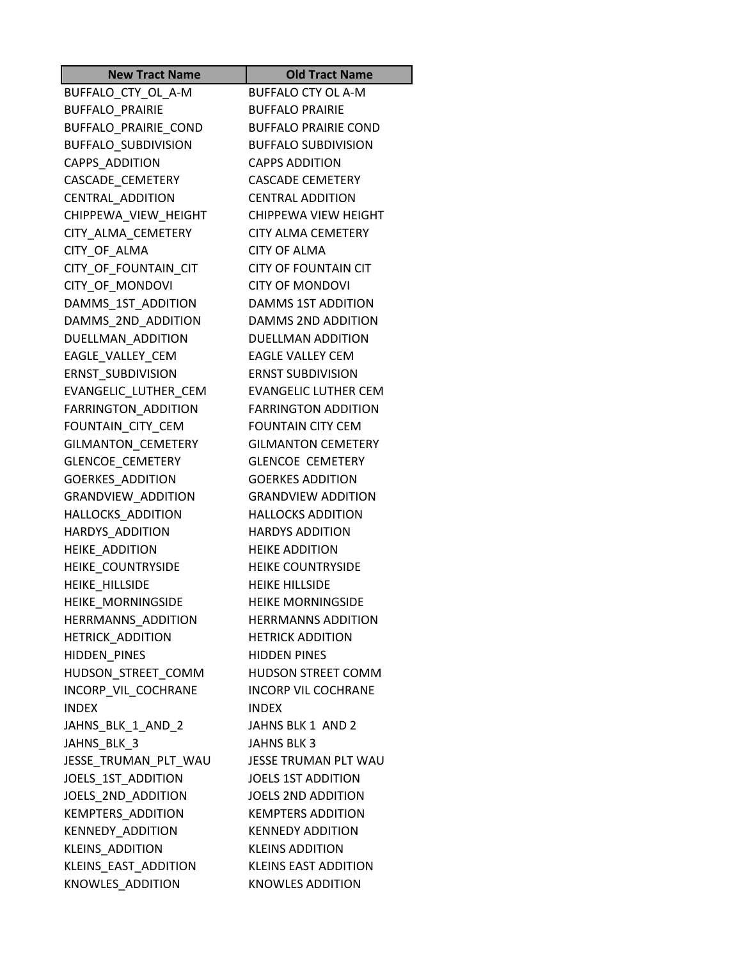| <b>New Tract Name</b>   | <b>Old Tract Name</b>       |
|-------------------------|-----------------------------|
| BUFFALO_CTY_OL_A-M      | <b>BUFFALO CTY OL A-M</b>   |
| BUFFALO_PRAIRIE         | <b>BUFFALO PRAIRIE</b>      |
| BUFFALO_PRAIRIE_COND    | <b>BUFFALO PRAIRIE COND</b> |
| BUFFALO_SUBDIVISION     | <b>BUFFALO SUBDIVISION</b>  |
| CAPPS_ADDITION          | <b>CAPPS ADDITION</b>       |
| CASCADE_CEMETERY        | <b>CASCADE CEMETERY</b>     |
| CENTRAL_ADDITION        | <b>CENTRAL ADDITION</b>     |
| CHIPPEWA_VIEW_HEIGHT    | CHIPPEWA VIEW HEIGHT        |
| CITY ALMA CEMETERY      | <b>CITY ALMA CEMETERY</b>   |
| CITY_OF_ALMA            | <b>CITY OF ALMA</b>         |
| CITY_OF_FOUNTAIN_CIT    | <b>CITY OF FOUNTAIN CIT</b> |
| CITY_OF_MONDOVI         | <b>CITY OF MONDOVI</b>      |
| DAMMS_1ST_ADDITION      | DAMMS 1ST ADDITION          |
| DAMMS_2ND_ADDITION      | DAMMS 2ND ADDITION          |
| DUELLMAN ADDITION       | <b>DUELLMAN ADDITION</b>    |
| EAGLE_VALLEY_CEM        | <b>EAGLE VALLEY CEM</b>     |
| ERNST_SUBDIVISION       | <b>ERNST SUBDIVISION</b>    |
| EVANGELIC_LUTHER_CEM    | <b>EVANGELIC LUTHER CEM</b> |
| FARRINGTON_ADDITION     | <b>FARRINGTON ADDITION</b>  |
| FOUNTAIN_CITY_CEM       | <b>FOUNTAIN CITY CEM</b>    |
| GILMANTON_CEMETERY      | <b>GILMANTON CEMETERY</b>   |
| GLENCOE_CEMETERY        | <b>GLENCOE CEMETERY</b>     |
| <b>GOERKES_ADDITION</b> | <b>GOERKES ADDITION</b>     |
| GRANDVIEW_ADDITION      | <b>GRANDVIEW ADDITION</b>   |
| HALLOCKS_ADDITION       | <b>HALLOCKS ADDITION</b>    |
| HARDYS_ADDITION         | <b>HARDYS ADDITION</b>      |
| <b>HEIKE ADDITION</b>   | <b>HEIKE ADDITION</b>       |
| HEIKE COUNTRYSIDE       | <b>HEIKE COUNTRYSIDE</b>    |
| HEIKE_HILLSIDE          | <b>HEIKE HILLSIDE</b>       |
| HEIKE_MORNINGSIDE       | <b>HEIKE MORNINGSIDE</b>    |
| HERRMANNS ADDITION      | <b>HERRMANNS ADDITION</b>   |
| <b>HETRICK ADDITION</b> | <b>HETRICK ADDITION</b>     |
| HIDDEN_PINES            | <b>HIDDEN PINES</b>         |
| HUDSON_STREET_COMM      | <b>HUDSON STREET COMM</b>   |
| INCORP VIL COCHRANE     | <b>INCORP VIL COCHRANE</b>  |
| <b>INDEX</b>            | <b>INDEX</b>                |
| JAHNS_BLK_1_AND_2       | JAHNS BLK 1 AND 2           |
| JAHNS BLK 3             | <b>JAHNS BLK 3</b>          |
| JESSE_TRUMAN_PLT_WAU    | JESSE TRUMAN PLT WAU        |
| JOELS_1ST_ADDITION      | <b>JOELS 1ST ADDITION</b>   |
| JOELS_2ND_ADDITION      | <b>JOELS 2ND ADDITION</b>   |
| KEMPTERS_ADDITION       | <b>KEMPTERS ADDITION</b>    |
| <b>KENNEDY ADDITION</b> | <b>KENNEDY ADDITION</b>     |
| KLEINS_ADDITION         | <b>KLEINS ADDITION</b>      |
| KLEINS_EAST_ADDITION    | <b>KLEINS EAST ADDITION</b> |
| KNOWLES_ADDITION        | <b>KNOWLES ADDITION</b>     |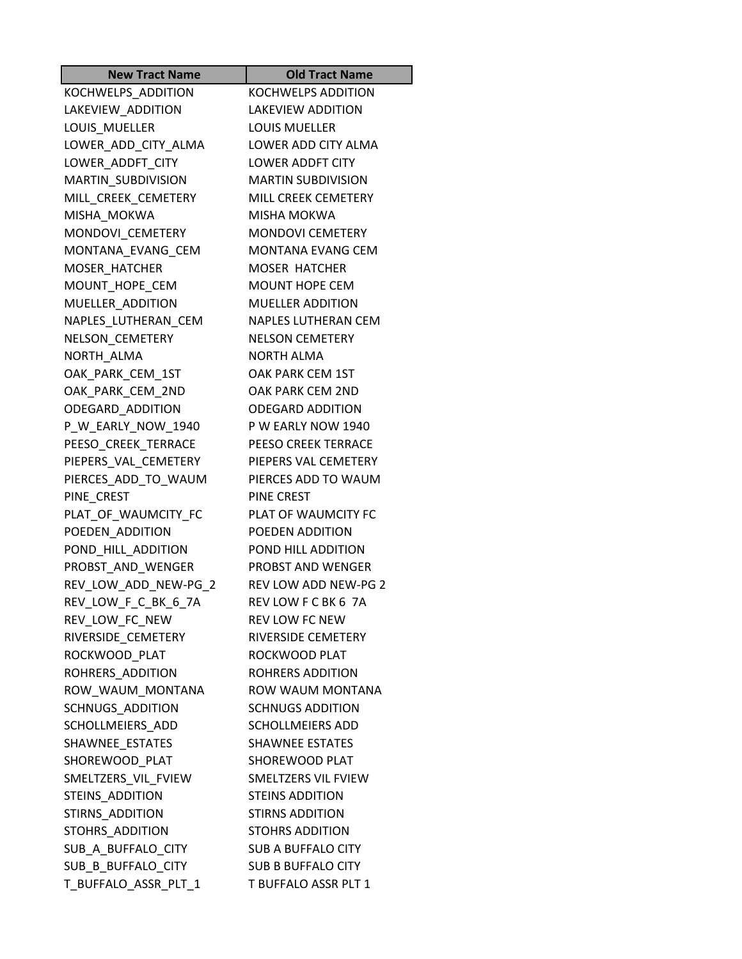| <b>New Tract Name</b>   | <b>Old Tract Name</b>       |
|-------------------------|-----------------------------|
| KOCHWELPS_ADDITION      | <b>KOCHWELPS ADDITION</b>   |
| LAKEVIEW_ADDITION       | <b>LAKEVIEW ADDITION</b>    |
| LOUIS MUELLER           | <b>LOUIS MUELLER</b>        |
| LOWER_ADD_CITY_ALMA     | LOWER ADD CITY ALMA         |
| LOWER_ADDFT_CITY        | <b>LOWER ADDFT CITY</b>     |
| MARTIN_SUBDIVISION      | <b>MARTIN SUBDIVISION</b>   |
| MILL_CREEK_CEMETERY     | MILL CREEK CEMETERY         |
| MISHA MOKWA             | MISHA MOKWA                 |
| MONDOVI_CEMETERY        | <b>MONDOVI CEMETERY</b>     |
| MONTANA_EVANG_CEM       | <b>MONTANA EVANG CEM</b>    |
| MOSER_HATCHER           | <b>MOSER HATCHER</b>        |
| MOUNT_HOPE_CEM          | <b>MOUNT HOPE CEM</b>       |
| MUELLER ADDITION        | <b>MUELLER ADDITION</b>     |
| NAPLES_LUTHERAN_CEM     | <b>NAPLES LUTHERAN CEM</b>  |
| NELSON_CEMETERY         | <b>NELSON CEMETERY</b>      |
| NORTH ALMA              | <b>NORTH ALMA</b>           |
| OAK PARK CEM 1ST        | OAK PARK CEM 1ST            |
| OAK PARK CEM 2ND        | OAK PARK CEM 2ND            |
| ODEGARD_ADDITION        | <b>ODEGARD ADDITION</b>     |
| P_W_EARLY_NOW_1940      | P W EARLY NOW 1940          |
| PEESO CREEK TERRACE     | PEESO CREEK TERRACE         |
| PIEPERS_VAL_CEMETERY    | PIEPERS VAL CEMETERY        |
| PIERCES_ADD_TO_WAUM     | PIERCES ADD TO WAUM         |
| PINE_CREST              | PINE CREST                  |
| PLAT_OF_WAUMCITY_FC     | PLAT OF WAUMCITY FC         |
| POEDEN_ADDITION         | POEDEN ADDITION             |
| POND_HILL_ADDITION      | POND HILL ADDITION          |
| PROBST AND WENGER       | PROBST AND WENGER           |
| REV_LOW_ADD_NEW-PG_2    | <b>REV LOW ADD NEW-PG 2</b> |
| REV_LOW_F_C_BK_6_7A     | REV LOW F C BK 6 7A         |
| REV_LOW_FC_NEW          | <b>REV LOW FC NEW</b>       |
| RIVERSIDE_CEMETERY      | RIVERSIDE CEMETERY          |
| ROCKWOOD_PLAT           | ROCKWOOD PLAT               |
| ROHRERS_ADDITION        | ROHRERS ADDITION            |
| ROW WAUM MONTANA        | <b>ROW WAUM MONTANA</b>     |
| <b>SCHNUGS ADDITION</b> | <b>SCHNUGS ADDITION</b>     |
| SCHOLLMEIERS_ADD        | <b>SCHOLLMEIERS ADD</b>     |
| SHAWNEE_ESTATES         | <b>SHAWNEE ESTATES</b>      |
| SHOREWOOD PLAT          | SHOREWOOD PLAT              |
| SMELTZERS_VIL_FVIEW     | SMELTZERS VIL FVIEW         |
| STEINS_ADDITION         | <b>STEINS ADDITION</b>      |
| STIRNS ADDITION         | <b>STIRNS ADDITION</b>      |
| STOHRS ADDITION         | <b>STOHRS ADDITION</b>      |
| SUB_A_BUFFALO_CITY      | <b>SUB A BUFFALO CITY</b>   |
| SUB_B_BUFFALO_CITY      | <b>SUB B BUFFALO CITY</b>   |
| T_BUFFALO_ASSR_PLT_1    | T BUFFALO ASSR PLT 1        |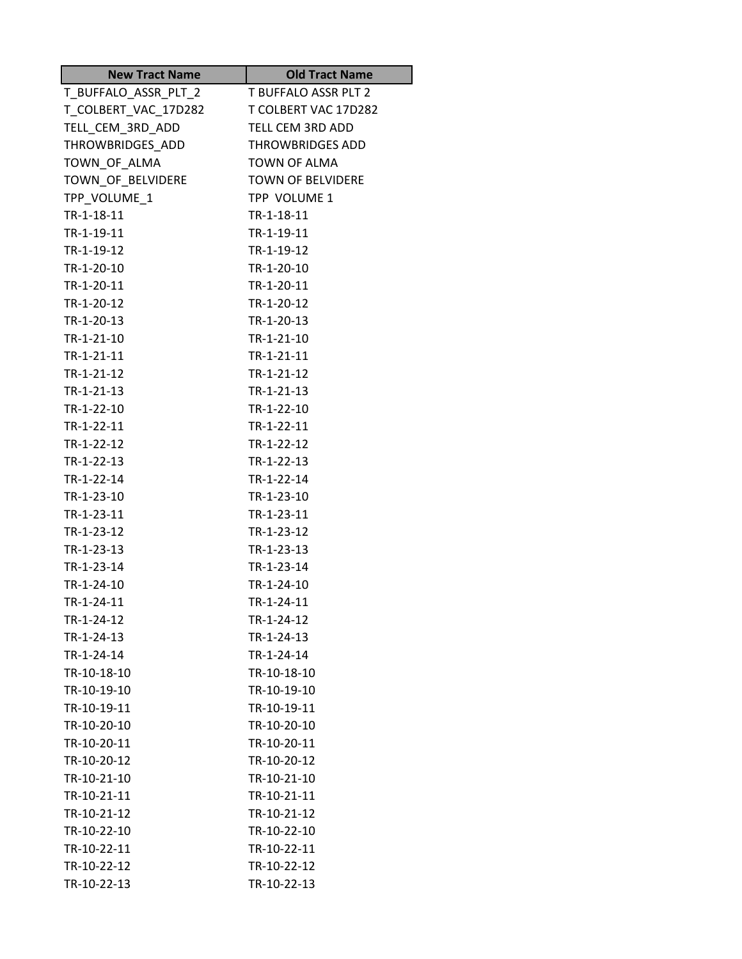| <b>New Tract Name</b>     | <b>Old Tract Name</b>     |
|---------------------------|---------------------------|
| T_BUFFALO_ASSR_PLT_2      | T BUFFALO ASSR PLT 2      |
| T_COLBERT_VAC_17D282      | T COLBERT VAC 17D282      |
| TELL_CEM_3RD_ADD          | TELL CEM 3RD ADD          |
| THROWBRIDGES_ADD          | <b>THROWBRIDGES ADD</b>   |
| TOWN_OF_ALMA              | <b>TOWN OF ALMA</b>       |
| TOWN_OF_BELVIDERE         | <b>TOWN OF BELVIDERE</b>  |
| TPP_VOLUME 1              | TPP VOLUME 1              |
| TR-1-18-11                | TR-1-18-11                |
| TR-1-19-11                | TR-1-19-11                |
| TR-1-19-12                | TR-1-19-12                |
| TR-1-20-10                | TR-1-20-10                |
| TR-1-20-11                | TR-1-20-11                |
| TR-1-20-12                | TR-1-20-12                |
| TR-1-20-13                | TR-1-20-13                |
| TR-1-21-10                | TR-1-21-10                |
| TR-1-21-11                | TR-1-21-11                |
| TR-1-21-12                | TR-1-21-12                |
| TR-1-21-13                | TR-1-21-13                |
| TR-1-22-10                | TR-1-22-10                |
| TR-1-22-11                | TR-1-22-11                |
| TR-1-22-12                | TR-1-22-12                |
| TR-1-22-13                | TR-1-22-13                |
| TR-1-22-14                | TR-1-22-14                |
| TR-1-23-10                | TR-1-23-10                |
| TR-1-23-11                | TR-1-23-11                |
| TR-1-23-12                | TR-1-23-12                |
| TR-1-23-13                | TR-1-23-13                |
| TR-1-23-14                | TR-1-23-14                |
| TR-1-24-10                | TR-1-24-10                |
| TR-1-24-11                | TR-1-24-11                |
| TR-1-24-12                | TR-1-24-12                |
| TR-1-24-13                | TR-1-24-13                |
| TR-1-24-14<br>TR-10-18-10 | TR-1-24-14<br>TR-10-18-10 |
| TR-10-19-10               | TR-10-19-10               |
| TR-10-19-11               | TR-10-19-11               |
| TR-10-20-10               | TR-10-20-10               |
| TR-10-20-11               | TR-10-20-11               |
| TR-10-20-12               | TR-10-20-12               |
| TR-10-21-10               | TR-10-21-10               |
| TR-10-21-11               | TR-10-21-11               |
| TR-10-21-12               | TR-10-21-12               |
| TR-10-22-10               | TR-10-22-10               |
| TR-10-22-11               | TR-10-22-11               |
| TR-10-22-12               | TR-10-22-12               |
| TR-10-22-13               | TR-10-22-13               |
|                           |                           |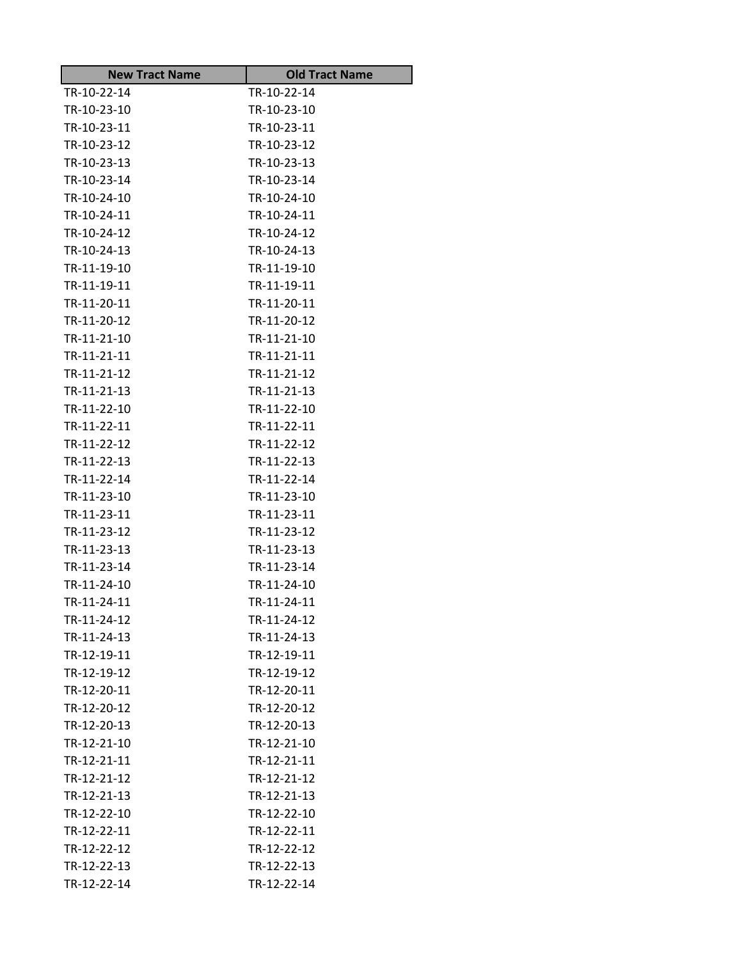| <b>New Tract Name</b> | <b>Old Tract Name</b> |
|-----------------------|-----------------------|
| TR-10-22-14           | TR-10-22-14           |
| TR-10-23-10           | TR-10-23-10           |
| TR-10-23-11           | TR-10-23-11           |
| TR-10-23-12           | TR-10-23-12           |
| TR-10-23-13           | TR-10-23-13           |
| TR-10-23-14           | TR-10-23-14           |
| TR-10-24-10           | TR-10-24-10           |
| TR-10-24-11           | TR-10-24-11           |
| TR-10-24-12           | TR-10-24-12           |
| TR-10-24-13           | TR-10-24-13           |
| TR-11-19-10           | TR-11-19-10           |
| TR-11-19-11           | TR-11-19-11           |
| TR-11-20-11           | TR-11-20-11           |
| TR-11-20-12           | TR-11-20-12           |
| TR-11-21-10           | TR-11-21-10           |
| TR-11-21-11           | TR-11-21-11           |
| TR-11-21-12           | TR-11-21-12           |
| TR-11-21-13           | TR-11-21-13           |
| TR-11-22-10           | TR-11-22-10           |
| TR-11-22-11           | TR-11-22-11           |
| TR-11-22-12           | TR-11-22-12           |
| TR-11-22-13           | TR-11-22-13           |
| TR-11-22-14           | TR-11-22-14           |
| TR-11-23-10           | TR-11-23-10           |
| TR-11-23-11           | TR-11-23-11           |
| TR-11-23-12           | TR-11-23-12           |
| TR-11-23-13           | TR-11-23-13           |
| TR-11-23-14           | TR-11-23-14           |
| TR-11-24-10           | TR-11-24-10           |
| TR-11-24-11           | TR-11-24-11           |
| TR-11-24-12           | TR-11-24-12           |
| TR-11-24-13           | TR-11-24-13           |
| TR-12-19-11           | TR-12-19-11           |
| TR-12-19-12           | TR-12-19-12           |
| TR-12-20-11           | TR-12-20-11           |
| TR-12-20-12           | TR-12-20-12           |
| TR-12-20-13           | TR-12-20-13           |
| TR-12-21-10           | TR-12-21-10           |
| TR-12-21-11           | TR-12-21-11           |
| TR-12-21-12           | TR-12-21-12           |
| TR-12-21-13           | TR-12-21-13           |
| TR-12-22-10           | TR-12-22-10           |
| TR-12-22-11           | TR-12-22-11           |
| TR-12-22-12           | TR-12-22-12           |
| TR-12-22-13           | TR-12-22-13           |
| TR-12-22-14           | TR-12-22-14           |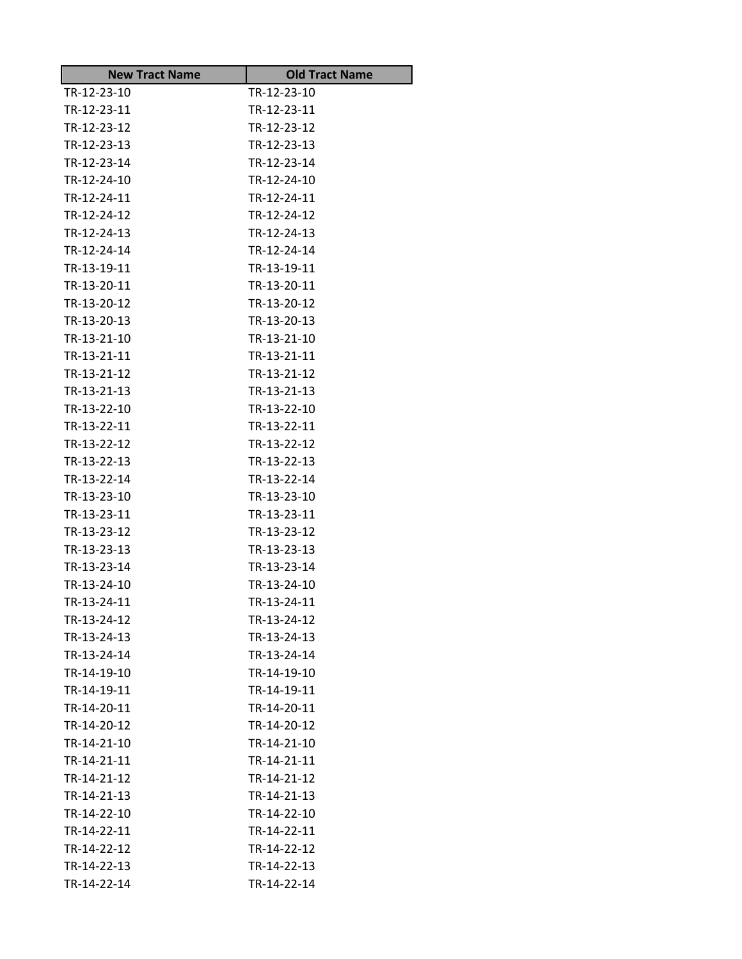| <b>New Tract Name</b> | <b>Old Tract Name</b> |
|-----------------------|-----------------------|
| TR-12-23-10           | TR-12-23-10           |
| TR-12-23-11           | TR-12-23-11           |
| TR-12-23-12           | TR-12-23-12           |
| TR-12-23-13           | TR-12-23-13           |
| TR-12-23-14           | TR-12-23-14           |
| TR-12-24-10           | TR-12-24-10           |
| TR-12-24-11           | TR-12-24-11           |
| TR-12-24-12           | TR-12-24-12           |
| TR-12-24-13           | TR-12-24-13           |
| TR-12-24-14           | TR-12-24-14           |
| TR-13-19-11           | TR-13-19-11           |
| TR-13-20-11           | TR-13-20-11           |
| TR-13-20-12           | TR-13-20-12           |
| TR-13-20-13           | TR-13-20-13           |
| TR-13-21-10           | TR-13-21-10           |
| TR-13-21-11           | TR-13-21-11           |
| TR-13-21-12           | TR-13-21-12           |
| TR-13-21-13           | TR-13-21-13           |
| TR-13-22-10           | TR-13-22-10           |
| TR-13-22-11           | TR-13-22-11           |
| TR-13-22-12           | TR-13-22-12           |
| TR-13-22-13           | TR-13-22-13           |
| TR-13-22-14           | TR-13-22-14           |
| TR-13-23-10           | TR-13-23-10           |
| TR-13-23-11           | TR-13-23-11           |
| TR-13-23-12           | TR-13-23-12           |
| TR-13-23-13           | TR-13-23-13           |
| TR-13-23-14           | TR-13-23-14           |
| TR-13-24-10           | TR-13-24-10           |
| TR-13-24-11           | TR-13-24-11           |
| TR-13-24-12           | TR-13-24-12           |
| TR-13-24-13           | TR-13-24-13           |
| TR-13-24-14           | TR-13-24-14           |
| TR-14-19-10           | TR-14-19-10           |
| TR-14-19-11           | TR-14-19-11           |
| TR-14-20-11           | TR-14-20-11           |
| TR-14-20-12           | TR-14-20-12           |
| TR-14-21-10           | TR-14-21-10           |
| TR-14-21-11           | TR-14-21-11           |
| TR-14-21-12           | TR-14-21-12           |
| TR-14-21-13           | TR-14-21-13           |
| TR-14-22-10           | TR-14-22-10           |
| TR-14-22-11           | TR-14-22-11           |
| TR-14-22-12           | TR-14-22-12           |
| TR-14-22-13           | TR-14-22-13           |
| TR-14-22-14           | TR-14-22-14           |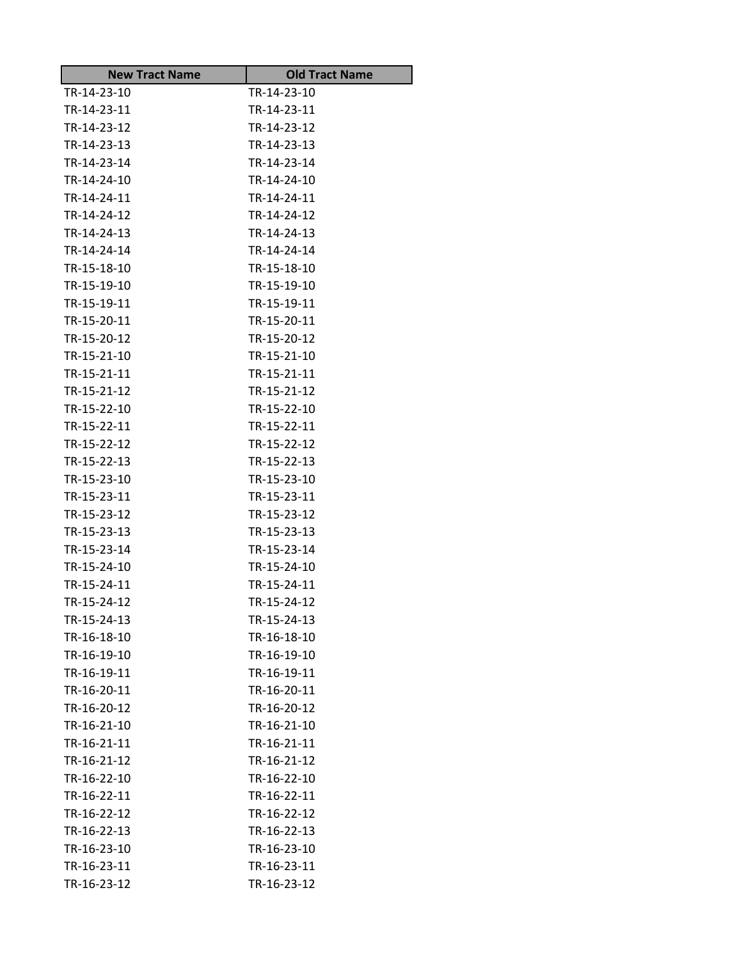| <b>New Tract Name</b> | <b>Old Tract Name</b> |
|-----------------------|-----------------------|
| TR-14-23-10           | TR-14-23-10           |
| TR-14-23-11           | TR-14-23-11           |
| TR-14-23-12           | TR-14-23-12           |
| TR-14-23-13           | TR-14-23-13           |
| TR-14-23-14           | TR-14-23-14           |
| TR-14-24-10           | TR-14-24-10           |
| TR-14-24-11           | TR-14-24-11           |
| TR-14-24-12           | TR-14-24-12           |
| TR-14-24-13           | TR-14-24-13           |
| TR-14-24-14           | TR-14-24-14           |
| TR-15-18-10           | TR-15-18-10           |
| TR-15-19-10           | TR-15-19-10           |
| TR-15-19-11           | TR-15-19-11           |
| TR-15-20-11           | TR-15-20-11           |
| TR-15-20-12           | TR-15-20-12           |
| TR-15-21-10           | TR-15-21-10           |
| TR-15-21-11           | TR-15-21-11           |
| TR-15-21-12           | TR-15-21-12           |
| TR-15-22-10           | TR-15-22-10           |
| TR-15-22-11           | TR-15-22-11           |
| TR-15-22-12           | TR-15-22-12           |
| TR-15-22-13           | TR-15-22-13           |
| TR-15-23-10           | TR-15-23-10           |
| TR-15-23-11           | TR-15-23-11           |
| TR-15-23-12           | TR-15-23-12           |
| TR-15-23-13           | TR-15-23-13           |
| TR-15-23-14           | TR-15-23-14           |
| TR-15-24-10           | TR-15-24-10           |
| TR-15-24-11           | TR-15-24-11           |
| TR-15-24-12           | TR-15-24-12           |
| TR-15-24-13           | TR-15-24-13           |
| TR-16-18-10           | TR-16-18-10           |
| TR-16-19-10           | TR-16-19-10           |
| TR-16-19-11           | TR-16-19-11           |
| TR-16-20-11           | TR-16-20-11           |
| TR-16-20-12           | TR-16-20-12           |
| TR-16-21-10           | TR-16-21-10           |
| TR-16-21-11           | TR-16-21-11           |
| TR-16-21-12           | TR-16-21-12           |
| TR-16-22-10           | TR-16-22-10           |
| TR-16-22-11           | TR-16-22-11           |
| TR-16-22-12           | TR-16-22-12           |
| TR-16-22-13           | TR-16-22-13           |
| TR-16-23-10           | TR-16-23-10           |
| TR-16-23-11           | TR-16-23-11           |
| TR-16-23-12           | TR-16-23-12           |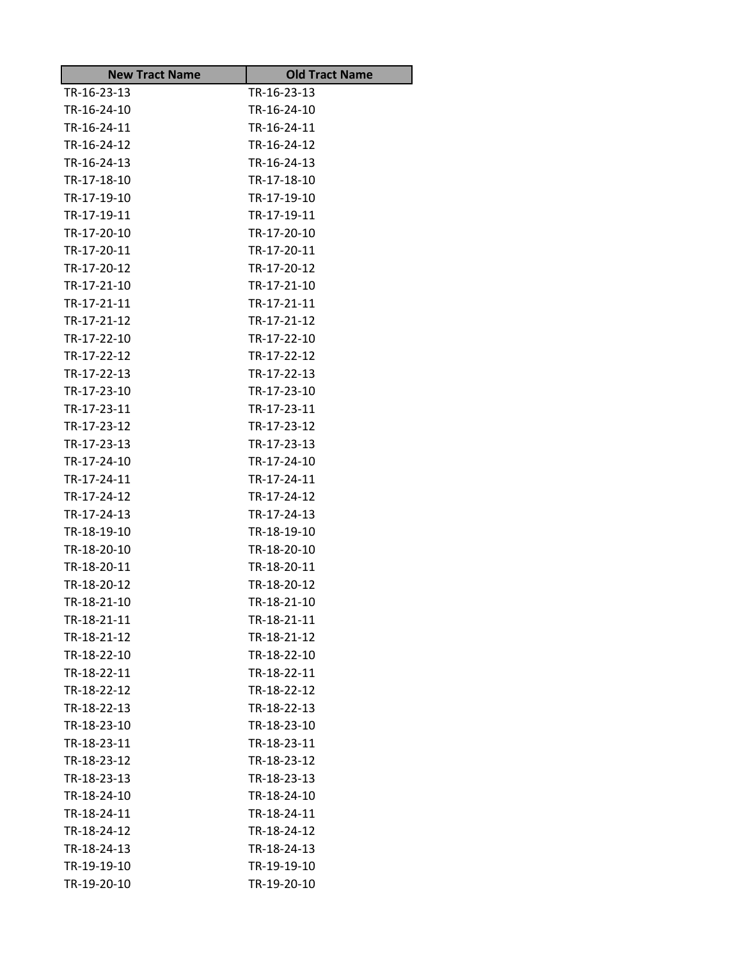| <b>New Tract Name</b> | <b>Old Tract Name</b> |
|-----------------------|-----------------------|
| TR-16-23-13           | TR-16-23-13           |
| TR-16-24-10           | TR-16-24-10           |
| TR-16-24-11           | TR-16-24-11           |
| TR-16-24-12           | TR-16-24-12           |
| TR-16-24-13           | TR-16-24-13           |
| TR-17-18-10           | TR-17-18-10           |
| TR-17-19-10           | TR-17-19-10           |
| TR-17-19-11           | TR-17-19-11           |
| TR-17-20-10           | TR-17-20-10           |
| TR-17-20-11           | TR-17-20-11           |
| TR-17-20-12           | TR-17-20-12           |
| TR-17-21-10           | TR-17-21-10           |
| TR-17-21-11           | TR-17-21-11           |
| TR-17-21-12           | TR-17-21-12           |
| TR-17-22-10           | TR-17-22-10           |
| TR-17-22-12           | TR-17-22-12           |
| TR-17-22-13           | TR-17-22-13           |
| TR-17-23-10           | TR-17-23-10           |
| TR-17-23-11           | TR-17-23-11           |
| TR-17-23-12           | TR-17-23-12           |
| TR-17-23-13           | TR-17-23-13           |
| TR-17-24-10           | TR-17-24-10           |
| TR-17-24-11           | TR-17-24-11           |
| TR-17-24-12           | TR-17-24-12           |
| TR-17-24-13           | TR-17-24-13           |
| TR-18-19-10           | TR-18-19-10           |
| TR-18-20-10           | TR-18-20-10           |
| TR-18-20-11           | TR-18-20-11           |
| TR-18-20-12           | TR-18-20-12           |
| TR-18-21-10           | TR-18-21-10           |
| TR-18-21-11           | TR-18-21-11           |
| TR-18-21-12           | TR-18-21-12           |
| TR-18-22-10           | TR-18-22-10           |
| TR-18-22-11           | TR-18-22-11           |
| TR-18-22-12           | TR-18-22-12           |
| TR-18-22-13           | TR-18-22-13           |
| TR-18-23-10           | TR-18-23-10           |
| TR-18-23-11           | TR-18-23-11           |
| TR-18-23-12           | TR-18-23-12           |
| TR-18-23-13           | TR-18-23-13           |
| TR-18-24-10           | TR-18-24-10           |
| TR-18-24-11           | TR-18-24-11           |
| TR-18-24-12           | TR-18-24-12           |
| TR-18-24-13           | TR-18-24-13           |
| TR-19-19-10           | TR-19-19-10           |
| TR-19-20-10           | TR-19-20-10           |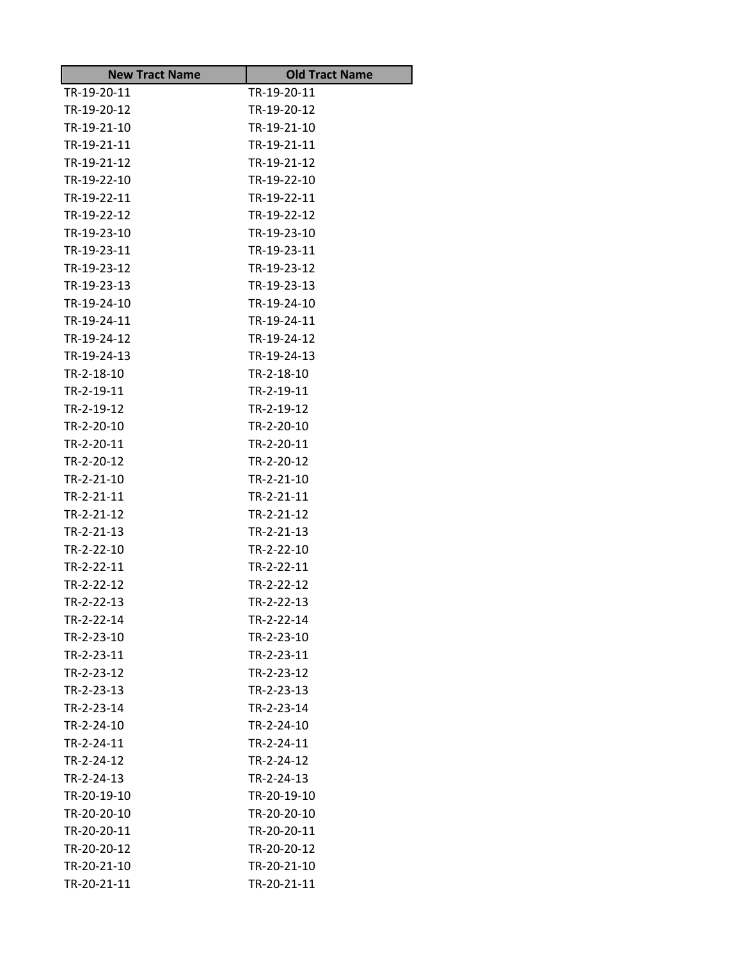| <b>New Tract Name</b> | <b>Old Tract Name</b> |
|-----------------------|-----------------------|
| TR-19-20-11           | TR-19-20-11           |
| TR-19-20-12           | TR-19-20-12           |
| TR-19-21-10           | TR-19-21-10           |
| TR-19-21-11           | TR-19-21-11           |
| TR-19-21-12           | TR-19-21-12           |
| TR-19-22-10           | TR-19-22-10           |
| TR-19-22-11           | TR-19-22-11           |
| TR-19-22-12           | TR-19-22-12           |
| TR-19-23-10           | TR-19-23-10           |
| TR-19-23-11           | TR-19-23-11           |
| TR-19-23-12           | TR-19-23-12           |
| TR-19-23-13           | TR-19-23-13           |
| TR-19-24-10           | TR-19-24-10           |
| TR-19-24-11           | TR-19-24-11           |
| TR-19-24-12           | TR-19-24-12           |
| TR-19-24-13           | TR-19-24-13           |
| TR-2-18-10            | TR-2-18-10            |
| TR-2-19-11            | TR-2-19-11            |
| TR-2-19-12            | TR-2-19-12            |
| TR-2-20-10            | TR-2-20-10            |
| TR-2-20-11            | TR-2-20-11            |
| TR-2-20-12            | TR-2-20-12            |
| TR-2-21-10            | TR-2-21-10            |
| TR-2-21-11            | TR-2-21-11            |
| TR-2-21-12            | TR-2-21-12            |
| TR-2-21-13            | TR-2-21-13            |
| TR-2-22-10            | TR-2-22-10            |
| TR-2-22-11            | TR-2-22-11            |
| TR-2-22-12            | TR-2-22-12            |
| TR-2-22-13            | TR-2-22-13            |
| TR-2-22-14            | TR-2-22-14            |
| TR-2-23-10            | TR-2-23-10            |
| TR-2-23-11            | TR-2-23-11            |
| TR-2-23-12            | TR-2-23-12            |
| TR-2-23-13            | TR-2-23-13            |
| TR-2-23-14            | TR-2-23-14            |
| TR-2-24-10            | TR-2-24-10            |
| TR-2-24-11            | TR-2-24-11            |
| TR-2-24-12            | TR-2-24-12            |
| TR-2-24-13            | TR-2-24-13            |
| TR-20-19-10           | TR-20-19-10           |
| TR-20-20-10           | TR-20-20-10           |
| TR-20-20-11           | TR-20-20-11           |
| TR-20-20-12           | TR-20-20-12           |
| TR-20-21-10           | TR-20-21-10           |
| TR-20-21-11           | TR-20-21-11           |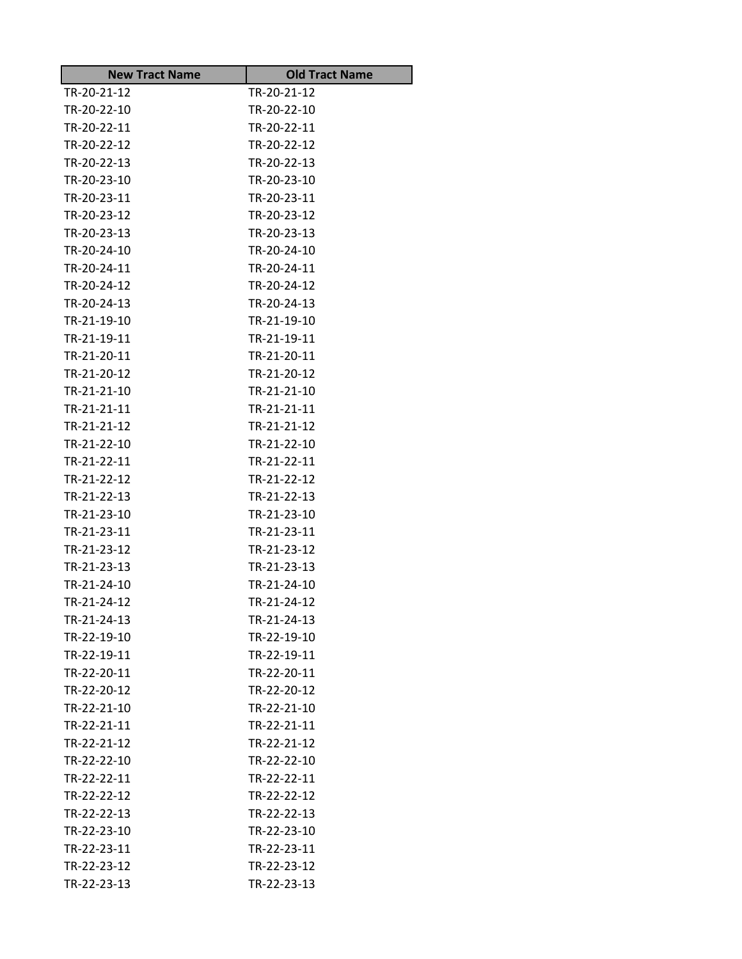| <b>New Tract Name</b>      | <b>Old Tract Name</b>      |
|----------------------------|----------------------------|
| TR-20-21-12                | TR-20-21-12                |
| TR-20-22-10                | TR-20-22-10                |
| TR-20-22-11                | TR-20-22-11                |
| TR-20-22-12                | TR-20-22-12                |
| TR-20-22-13                | TR-20-22-13                |
| TR-20-23-10                | TR-20-23-10                |
| TR-20-23-11                | TR-20-23-11                |
| TR-20-23-12                | TR-20-23-12                |
| TR-20-23-13                | TR-20-23-13                |
| TR-20-24-10                | TR-20-24-10                |
| TR-20-24-11                | TR-20-24-11                |
| TR-20-24-12                | TR-20-24-12                |
| TR-20-24-13                | TR-20-24-13                |
| TR-21-19-10                | TR-21-19-10                |
| TR-21-19-11                | TR-21-19-11                |
| TR-21-20-11                | TR-21-20-11                |
| TR-21-20-12                | TR-21-20-12                |
| TR-21-21-10                | TR-21-21-10                |
| TR-21-21-11                | TR-21-21-11                |
| TR-21-21-12                | TR-21-21-12                |
| TR-21-22-10                | TR-21-22-10                |
| TR-21-22-11                | TR-21-22-11                |
| TR-21-22-12                | TR-21-22-12                |
| TR-21-22-13                | TR-21-22-13                |
| TR-21-23-10                | TR-21-23-10                |
| TR-21-23-11                | TR-21-23-11                |
| TR-21-23-12                | TR-21-23-12                |
| TR-21-23-13                | TR-21-23-13                |
| TR-21-24-10                | TR-21-24-10                |
| TR-21-24-12                | TR-21-24-12                |
| TR-21-24-13                | TR-21-24-13                |
| TR-22-19-10                | TR-22-19-10                |
| TR-22-19-11                | TR-22-19-11<br>TR-22-20-11 |
| TR-22-20-11                |                            |
| TR-22-20-12                | TR-22-20-12                |
| TR-22-21-10<br>TR-22-21-11 | TR-22-21-10                |
|                            | TR-22-21-11                |
| TR-22-21-12                | TR-22-21-12                |
| TR-22-22-10                | TR-22-22-10                |
| TR-22-22-11                | TR-22-22-11                |
| TR-22-22-12                | TR-22-22-12                |
| TR-22-22-13                | TR-22-22-13                |
| TR-22-23-10                | TR-22-23-10                |
| TR-22-23-11                | TR-22-23-11                |
| TR-22-23-12                | TR-22-23-12                |
| TR-22-23-13                | TR-22-23-13                |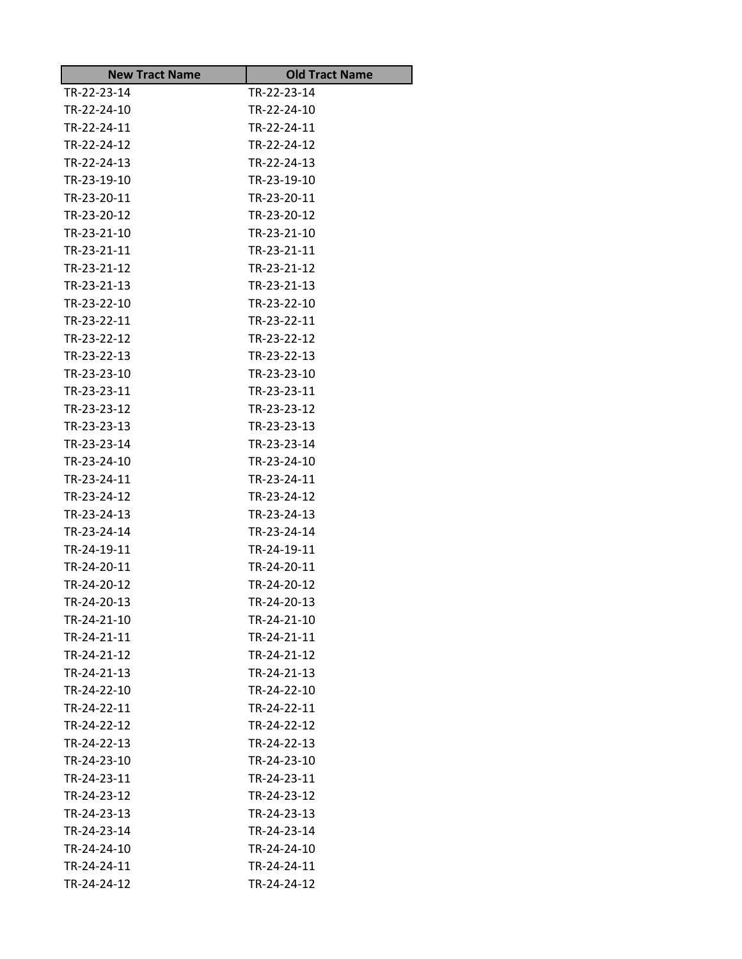| <b>New Tract Name</b>      | <b>Old Tract Name</b>      |
|----------------------------|----------------------------|
| TR-22-23-14                | TR-22-23-14                |
| TR-22-24-10                | TR-22-24-10                |
| TR-22-24-11                | TR-22-24-11                |
| TR-22-24-12                | TR-22-24-12                |
| TR-22-24-13                | TR-22-24-13                |
| TR-23-19-10                | TR-23-19-10                |
| TR-23-20-11                | TR-23-20-11                |
| TR-23-20-12                | TR-23-20-12                |
| TR-23-21-10                | TR-23-21-10                |
| TR-23-21-11                | TR-23-21-11                |
| TR-23-21-12                | TR-23-21-12                |
| TR-23-21-13                | TR-23-21-13                |
| TR-23-22-10                | TR-23-22-10                |
| TR-23-22-11                | TR-23-22-11                |
| TR-23-22-12                | TR-23-22-12                |
| TR-23-22-13                | TR-23-22-13                |
| TR-23-23-10                | TR-23-23-10                |
| TR-23-23-11                | TR-23-23-11                |
| TR-23-23-12                | TR-23-23-12                |
| TR-23-23-13                | TR-23-23-13                |
| TR-23-23-14                | TR-23-23-14                |
| TR-23-24-10<br>TR-23-24-11 | TR-23-24-10<br>TR-23-24-11 |
| TR-23-24-12                | TR-23-24-12                |
| TR-23-24-13                | TR-23-24-13                |
| TR-23-24-14                | TR-23-24-14                |
| TR-24-19-11                | TR-24-19-11                |
| TR-24-20-11                | TR-24-20-11                |
| TR-24-20-12                | TR-24-20-12                |
| TR-24-20-13                | TR-24-20-13                |
| TR-24-21-10                | TR-24-21-10                |
| TR-24-21-11                | TR-24-21-11                |
| TR-24-21-12                | TR-24-21-12                |
| TR-24-21-13                | TR-24-21-13                |
| TR-24-22-10                | TR-24-22-10                |
| TR-24-22-11                | TR-24-22-11                |
| TR-24-22-12                | TR-24-22-12                |
| TR-24-22-13                | TR-24-22-13                |
| TR-24-23-10                | TR-24-23-10                |
| TR-24-23-11                | TR-24-23-11                |
| TR-24-23-12                | TR-24-23-12                |
| TR-24-23-13                | TR-24-23-13                |
| TR-24-23-14                | TR-24-23-14                |
| TR-24-24-10                | TR-24-24-10                |
| TR-24-24-11                | TR-24-24-11                |
| TR-24-24-12                | TR-24-24-12                |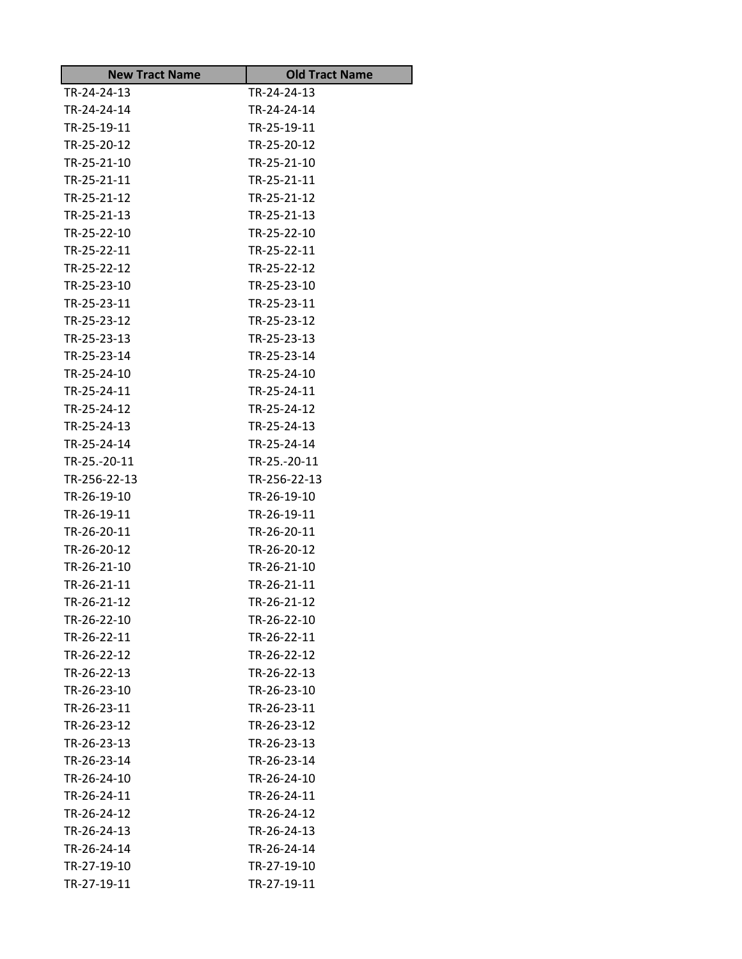| <b>New Tract Name</b> | <b>Old Tract Name</b> |
|-----------------------|-----------------------|
| TR-24-24-13           | TR-24-24-13           |
| TR-24-24-14           | TR-24-24-14           |
| TR-25-19-11           | TR-25-19-11           |
| TR-25-20-12           | TR-25-20-12           |
| TR-25-21-10           | TR-25-21-10           |
| TR-25-21-11           | TR-25-21-11           |
| TR-25-21-12           | TR-25-21-12           |
| TR-25-21-13           | TR-25-21-13           |
| TR-25-22-10           | TR-25-22-10           |
| TR-25-22-11           | TR-25-22-11           |
| TR-25-22-12           | TR-25-22-12           |
| TR-25-23-10           | TR-25-23-10           |
| TR-25-23-11           | TR-25-23-11           |
| TR-25-23-12           | TR-25-23-12           |
| TR-25-23-13           | TR-25-23-13           |
| TR-25-23-14           | TR-25-23-14           |
| TR-25-24-10           | TR-25-24-10           |
| TR-25-24-11           | TR-25-24-11           |
| TR-25-24-12           | TR-25-24-12           |
| TR-25-24-13           | TR-25-24-13           |
| TR-25-24-14           | TR-25-24-14           |
| TR-25.-20-11          | TR-25.-20-11          |
| TR-256-22-13          | TR-256-22-13          |
| TR-26-19-10           | TR-26-19-10           |
| TR-26-19-11           | TR-26-19-11           |
| TR-26-20-11           | TR-26-20-11           |
| TR-26-20-12           | TR-26-20-12           |
| TR-26-21-10           | TR-26-21-10           |
| TR-26-21-11           | TR-26-21-11           |
| TR-26-21-12           | TR-26-21-12           |
| TR-26-22-10           | TR-26-22-10           |
| TR-26-22-11           | TR-26-22-11           |
| TR-26-22-12           | TR-26-22-12           |
| TR-26-22-13           | TR-26-22-13           |
| TR-26-23-10           | TR-26-23-10           |
| TR-26-23-11           | TR-26-23-11           |
| TR-26-23-12           | TR-26-23-12           |
| TR-26-23-13           | TR-26-23-13           |
| TR-26-23-14           | TR-26-23-14           |
| TR-26-24-10           | TR-26-24-10           |
| TR-26-24-11           | TR-26-24-11           |
| TR-26-24-12           | TR-26-24-12           |
| TR-26-24-13           | TR-26-24-13           |
| TR-26-24-14           | TR-26-24-14           |
| TR-27-19-10           | TR-27-19-10           |
| TR-27-19-11           | TR-27-19-11           |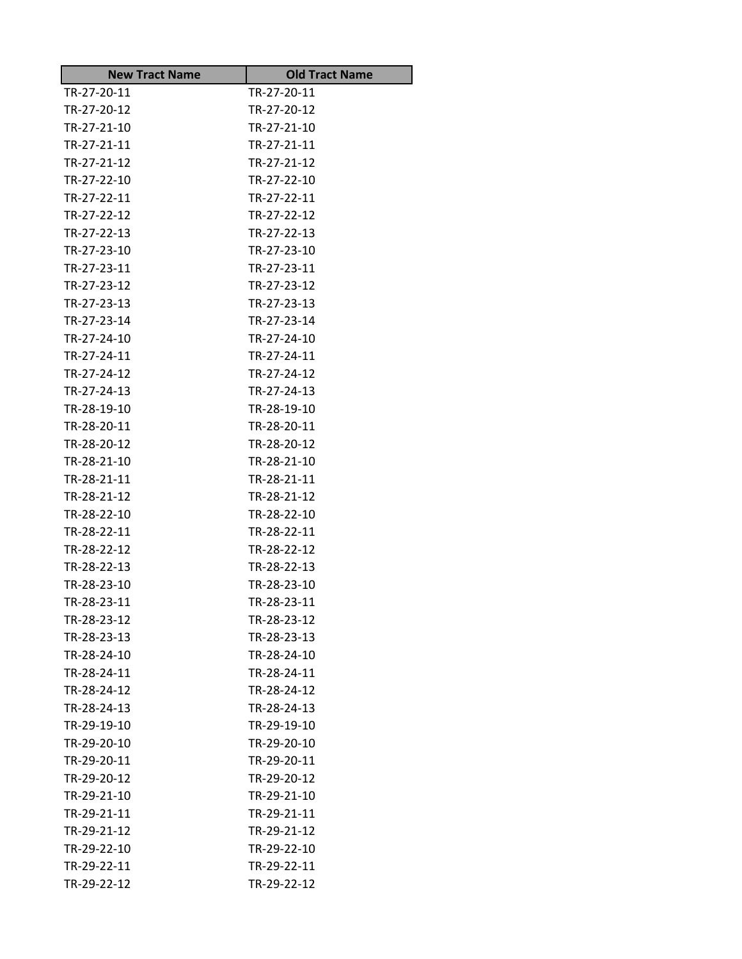| <b>New Tract Name</b>      | <b>Old Tract Name</b> |
|----------------------------|-----------------------|
| TR-27-20-11                | TR-27-20-11           |
| TR-27-20-12                | TR-27-20-12           |
| TR-27-21-10                | TR-27-21-10           |
| TR-27-21-11                | TR-27-21-11           |
| TR-27-21-12                | TR-27-21-12           |
| TR-27-22-10                | TR-27-22-10           |
| TR-27-22-11                | TR-27-22-11           |
| TR-27-22-12                | TR-27-22-12           |
| TR-27-22-13                | TR-27-22-13           |
| TR-27-23-10                | TR-27-23-10           |
| TR-27-23-11                | TR-27-23-11           |
| TR-27-23-12                | TR-27-23-12           |
| TR-27-23-13                | TR-27-23-13           |
| TR-27-23-14                | TR-27-23-14           |
| TR-27-24-10                | TR-27-24-10           |
| TR-27-24-11                | TR-27-24-11           |
| TR-27-24-12                | TR-27-24-12           |
| TR-27-24-13                | TR-27-24-13           |
| TR-28-19-10                | TR-28-19-10           |
| TR-28-20-11                | TR-28-20-11           |
| TR-28-20-12                | TR-28-20-12           |
| TR-28-21-10                | TR-28-21-10           |
| TR-28-21-11                | TR-28-21-11           |
| TR-28-21-12                | TR-28-21-12           |
| TR-28-22-10                | TR-28-22-10           |
| TR-28-22-11                | TR-28-22-11           |
| TR-28-22-12                | TR-28-22-12           |
| TR-28-22-13                | TR-28-22-13           |
| TR-28-23-10                | TR-28-23-10           |
| TR-28-23-11                | TR-28-23-11           |
| TR-28-23-12                | TR-28-23-12           |
| TR-28-23-13                | TR-28-23-13           |
| TR-28-24-10                | TR-28-24-10           |
| TR-28-24-11                | TR-28-24-11           |
| TR-28-24-12                | TR-28-24-12           |
| TR-28-24-13                | TR-28-24-13           |
| TR-29-19-10                | TR-29-19-10           |
| TR-29-20-10                | TR-29-20-10           |
| TR-29-20-11                | TR-29-20-11           |
| TR-29-20-12                | TR-29-20-12           |
| TR-29-21-10                | TR-29-21-10           |
| TR-29-21-11                | TR-29-21-11           |
| TR-29-21-12<br>TR-29-22-10 | TR-29-21-12           |
|                            | TR-29-22-10           |
| TR-29-22-11                | TR-29-22-11           |
| TR-29-22-12                | TR-29-22-12           |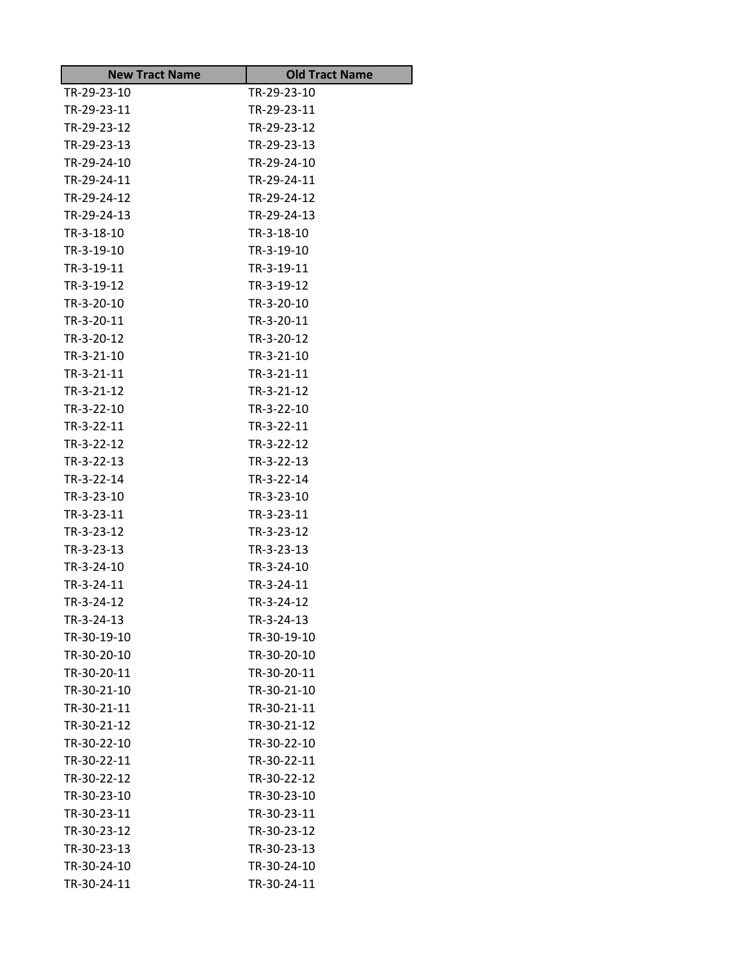| <b>New Tract Name</b> | <b>Old Tract Name</b> |
|-----------------------|-----------------------|
| TR-29-23-10           | TR-29-23-10           |
| TR-29-23-11           | TR-29-23-11           |
| TR-29-23-12           | TR-29-23-12           |
| TR-29-23-13           | TR-29-23-13           |
| TR-29-24-10           | TR-29-24-10           |
| TR-29-24-11           | TR-29-24-11           |
| TR-29-24-12           | TR-29-24-12           |
| TR-29-24-13           | TR-29-24-13           |
| TR-3-18-10            | TR-3-18-10            |
| TR-3-19-10            | TR-3-19-10            |
| TR-3-19-11            | TR-3-19-11            |
| TR-3-19-12            | TR-3-19-12            |
| TR-3-20-10            | TR-3-20-10            |
| TR-3-20-11            | TR-3-20-11            |
| TR-3-20-12            | TR-3-20-12            |
| TR-3-21-10            | TR-3-21-10            |
| TR-3-21-11            | TR-3-21-11            |
| TR-3-21-12            | TR-3-21-12            |
| TR-3-22-10            | TR-3-22-10            |
| TR-3-22-11            | TR-3-22-11            |
| TR-3-22-12            | TR-3-22-12            |
| TR-3-22-13            | TR-3-22-13            |
| TR-3-22-14            | TR-3-22-14            |
| TR-3-23-10            | TR-3-23-10            |
| TR-3-23-11            | TR-3-23-11            |
| TR-3-23-12            | TR-3-23-12            |
| TR-3-23-13            | TR-3-23-13            |
| TR-3-24-10            | TR-3-24-10            |
| TR-3-24-11            | TR-3-24-11            |
| TR-3-24-12            | TR-3-24-12            |
| TR-3-24-13            | TR-3-24-13            |
| TR-30-19-10           | TR-30-19-10           |
| TR-30-20-10           | TR-30-20-10           |
| TR-30-20-11           | TR-30-20-11           |
| TR-30-21-10           | TR-30-21-10           |
| TR-30-21-11           | TR-30-21-11           |
| TR-30-21-12           | TR-30-21-12           |
| TR-30-22-10           | TR-30-22-10           |
| TR-30-22-11           | TR-30-22-11           |
| TR-30-22-12           | TR-30-22-12           |
| TR-30-23-10           | TR-30-23-10           |
| TR-30-23-11           | TR-30-23-11           |
| TR-30-23-12           | TR-30-23-12           |
| TR-30-23-13           | TR-30-23-13           |
| TR-30-24-10           | TR-30-24-10           |
| TR-30-24-11           | TR-30-24-11           |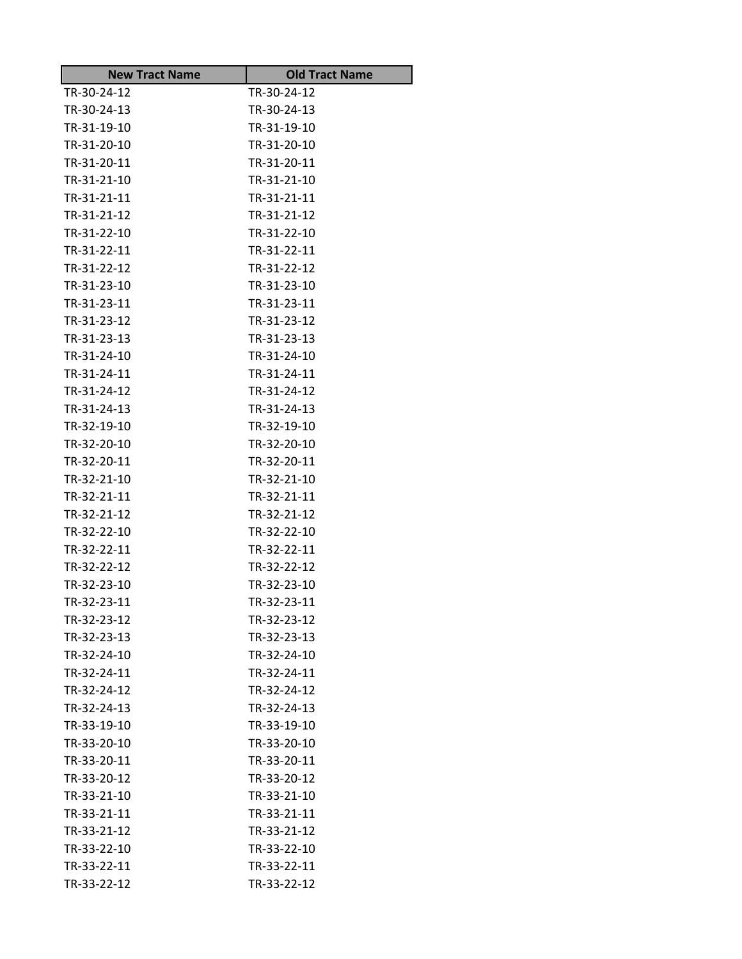| <b>New Tract Name</b> | <b>Old Tract Name</b> |
|-----------------------|-----------------------|
| TR-30-24-12           | TR-30-24-12           |
| TR-30-24-13           | TR-30-24-13           |
| TR-31-19-10           | TR-31-19-10           |
| TR-31-20-10           | TR-31-20-10           |
| TR-31-20-11           | TR-31-20-11           |
| TR-31-21-10           | TR-31-21-10           |
| TR-31-21-11           | TR-31-21-11           |
| TR-31-21-12           | TR-31-21-12           |
| TR-31-22-10           | TR-31-22-10           |
| TR-31-22-11           | TR-31-22-11           |
| TR-31-22-12           | TR-31-22-12           |
| TR-31-23-10           | TR-31-23-10           |
| TR-31-23-11           | TR-31-23-11           |
| TR-31-23-12           | TR-31-23-12           |
| TR-31-23-13           | TR-31-23-13           |
| TR-31-24-10           | TR-31-24-10           |
| TR-31-24-11           | TR-31-24-11           |
| TR-31-24-12           | TR-31-24-12           |
| TR-31-24-13           | TR-31-24-13           |
| TR-32-19-10           | TR-32-19-10           |
| TR-32-20-10           | TR-32-20-10           |
| TR-32-20-11           | TR-32-20-11           |
| TR-32-21-10           | TR-32-21-10           |
| TR-32-21-11           | TR-32-21-11           |
| TR-32-21-12           | TR-32-21-12           |
| TR-32-22-10           | TR-32-22-10           |
| TR-32-22-11           | TR-32-22-11           |
| TR-32-22-12           | TR-32-22-12           |
| TR-32-23-10           | TR-32-23-10           |
| TR-32-23-11           | TR-32-23-11           |
| TR-32-23-12           | TR-32-23-12           |
| TR-32-23-13           | TR-32-23-13           |
| TR-32-24-10           | TR-32-24-10           |
| TR-32-24-11           | TR-32-24-11           |
| TR-32-24-12           | TR-32-24-12           |
| TR-32-24-13           | TR-32-24-13           |
| TR-33-19-10           | TR-33-19-10           |
| TR-33-20-10           | TR-33-20-10           |
| TR-33-20-11           | TR-33-20-11           |
| TR-33-20-12           | TR-33-20-12           |
| TR-33-21-10           | TR-33-21-10           |
| TR-33-21-11           | TR-33-21-11           |
| TR-33-21-12           | TR-33-21-12           |
| TR-33-22-10           | TR-33-22-10           |
| TR-33-22-11           | TR-33-22-11           |
| TR-33-22-12           | TR-33-22-12           |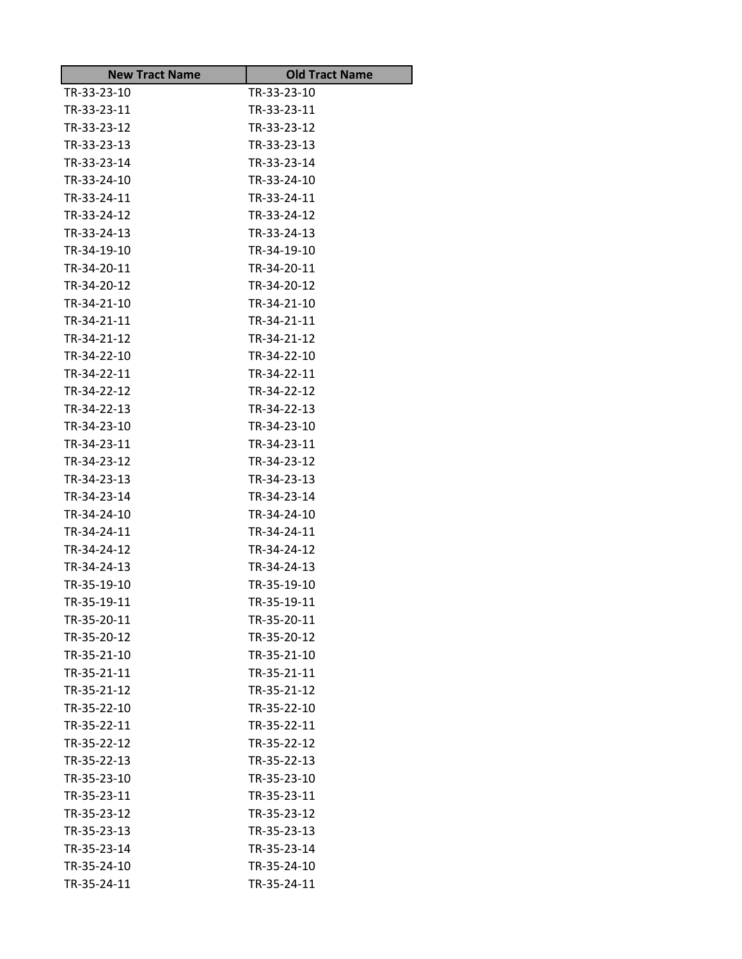| <b>New Tract Name</b> | <b>Old Tract Name</b> |
|-----------------------|-----------------------|
| TR-33-23-10           | TR-33-23-10           |
| TR-33-23-11           | TR-33-23-11           |
| TR-33-23-12           | TR-33-23-12           |
| TR-33-23-13           | TR-33-23-13           |
| TR-33-23-14           | TR-33-23-14           |
| TR-33-24-10           | TR-33-24-10           |
| TR-33-24-11           | TR-33-24-11           |
| TR-33-24-12           | TR-33-24-12           |
| TR-33-24-13           | TR-33-24-13           |
| TR-34-19-10           | TR-34-19-10           |
| TR-34-20-11           | TR-34-20-11           |
| TR-34-20-12           | TR-34-20-12           |
| TR-34-21-10           | TR-34-21-10           |
| TR-34-21-11           | TR-34-21-11           |
| TR-34-21-12           | TR-34-21-12           |
| TR-34-22-10           | TR-34-22-10           |
| TR-34-22-11           | TR-34-22-11           |
| TR-34-22-12           | TR-34-22-12           |
| TR-34-22-13           | TR-34-22-13           |
| TR-34-23-10           | TR-34-23-10           |
| TR-34-23-11           | TR-34-23-11           |
| TR-34-23-12           | TR-34-23-12           |
| TR-34-23-13           | TR-34-23-13           |
| TR-34-23-14           | TR-34-23-14           |
| TR-34-24-10           | TR-34-24-10           |
| TR-34-24-11           | TR-34-24-11           |
| TR-34-24-12           | TR-34-24-12           |
| TR-34-24-13           | TR-34-24-13           |
| TR-35-19-10           | TR-35-19-10           |
| TR-35-19-11           | TR-35-19-11           |
| TR-35-20-11           | TR-35-20-11           |
| TR-35-20-12           | TR-35-20-12           |
| TR-35-21-10           | TR-35-21-10           |
| TR-35-21-11           | TR-35-21-11           |
| TR-35-21-12           | TR-35-21-12           |
| TR-35-22-10           | TR-35-22-10           |
| TR-35-22-11           | TR-35-22-11           |
| TR-35-22-12           | TR-35-22-12           |
| TR-35-22-13           | TR-35-22-13           |
| TR-35-23-10           | TR-35-23-10           |
| TR-35-23-11           | TR-35-23-11           |
| TR-35-23-12           | TR-35-23-12           |
| TR-35-23-13           | TR-35-23-13           |
| TR-35-23-14           | TR-35-23-14           |
| TR-35-24-10           | TR-35-24-10           |
| TR-35-24-11           | TR-35-24-11           |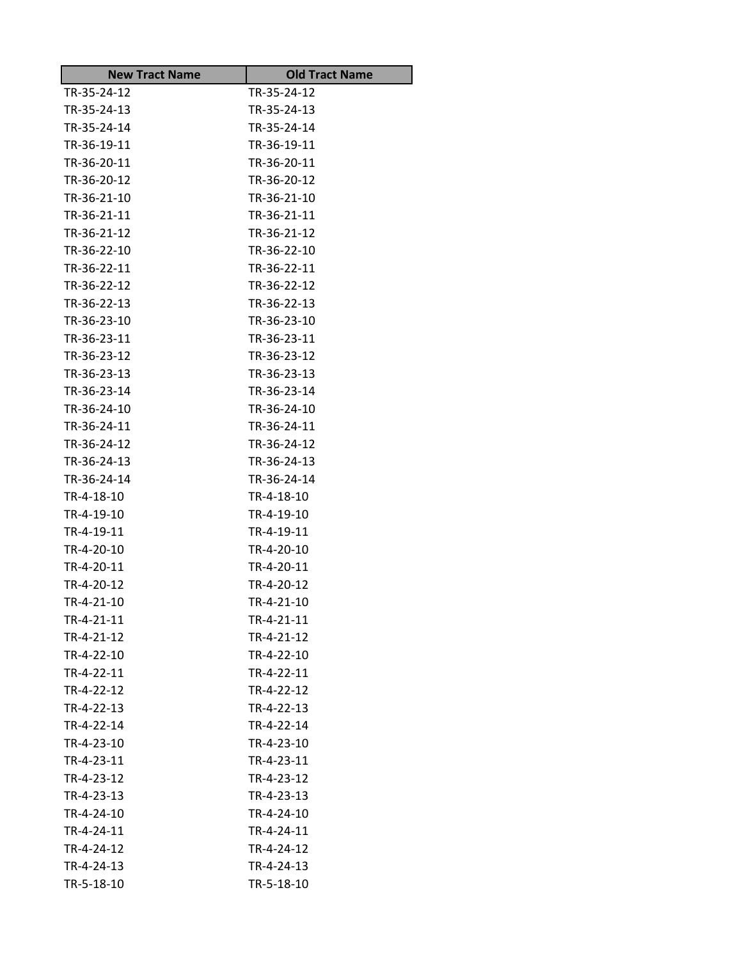| <b>New Tract Name</b>    | <b>Old Tract Name</b>    |
|--------------------------|--------------------------|
| TR-35-24-12              | TR-35-24-12              |
| TR-35-24-13              | TR-35-24-13              |
| TR-35-24-14              | TR-35-24-14              |
| TR-36-19-11              | TR-36-19-11              |
| TR-36-20-11              | TR-36-20-11              |
| TR-36-20-12              | TR-36-20-12              |
| TR-36-21-10              | TR-36-21-10              |
| TR-36-21-11              | TR-36-21-11              |
| TR-36-21-12              | TR-36-21-12              |
| TR-36-22-10              | TR-36-22-10              |
| TR-36-22-11              | TR-36-22-11              |
| TR-36-22-12              | TR-36-22-12              |
| TR-36-22-13              | TR-36-22-13              |
| TR-36-23-10              | TR-36-23-10              |
| TR-36-23-11              | TR-36-23-11              |
| TR-36-23-12              | TR-36-23-12              |
| TR-36-23-13              | TR-36-23-13              |
| TR-36-23-14              | TR-36-23-14              |
| TR-36-24-10              | TR-36-24-10              |
| TR-36-24-11              | TR-36-24-11              |
| TR-36-24-12              | TR-36-24-12              |
| TR-36-24-13              | TR-36-24-13              |
| TR-36-24-14              | TR-36-24-14              |
| TR-4-18-10               | TR-4-18-10               |
| TR-4-19-10               | TR-4-19-10               |
| TR-4-19-11               | TR-4-19-11               |
| TR-4-20-10               | TR-4-20-10               |
| TR-4-20-11               | TR-4-20-11               |
| TR-4-20-12               | TR-4-20-12               |
| TR-4-21-10               | TR-4-21-10               |
| TR-4-21-11               | TR-4-21-11               |
| TR-4-21-12               | TR-4-21-12<br>TR-4-22-10 |
| TR-4-22-10               |                          |
| TR-4-22-11               | TR-4-22-11               |
| TR-4-22-12<br>TR-4-22-13 | TR-4-22-12<br>TR-4-22-13 |
| TR-4-22-14               | TR-4-22-14               |
| TR-4-23-10               | TR-4-23-10               |
| TR-4-23-11               | TR-4-23-11               |
| TR-4-23-12               | TR-4-23-12               |
| TR-4-23-13               | TR-4-23-13               |
| TR-4-24-10               | TR-4-24-10               |
| TR-4-24-11               | TR-4-24-11               |
| TR-4-24-12               | TR-4-24-12               |
| TR-4-24-13               | TR-4-24-13               |
| TR-5-18-10               | TR-5-18-10               |
|                          |                          |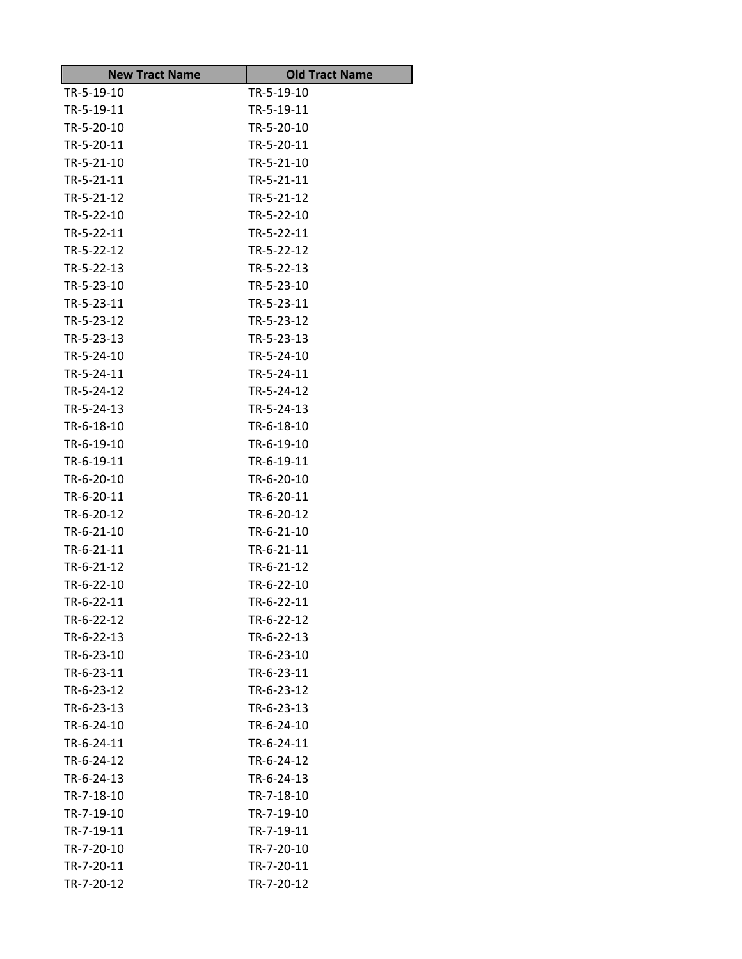| <b>New Tract Name</b> | <b>Old Tract Name</b> |
|-----------------------|-----------------------|
| TR-5-19-10            | TR-5-19-10            |
| TR-5-19-11            | TR-5-19-11            |
| TR-5-20-10            | TR-5-20-10            |
| TR-5-20-11            | TR-5-20-11            |
| TR-5-21-10            | TR-5-21-10            |
| TR-5-21-11            | TR-5-21-11            |
| TR-5-21-12            | TR-5-21-12            |
| TR-5-22-10            | TR-5-22-10            |
| TR-5-22-11            | TR-5-22-11            |
| TR-5-22-12            | TR-5-22-12            |
| TR-5-22-13            | TR-5-22-13            |
| TR-5-23-10            | TR-5-23-10            |
| TR-5-23-11            | TR-5-23-11            |
| TR-5-23-12            | TR-5-23-12            |
| TR-5-23-13            | TR-5-23-13            |
| TR-5-24-10            | TR-5-24-10            |
| TR-5-24-11            | TR-5-24-11            |
| TR-5-24-12            | TR-5-24-12            |
| TR-5-24-13            | TR-5-24-13            |
| TR-6-18-10            | TR-6-18-10            |
| TR-6-19-10            | TR-6-19-10            |
| TR-6-19-11            | TR-6-19-11            |
| TR-6-20-10            | TR-6-20-10            |
| TR-6-20-11            | TR-6-20-11            |
| TR-6-20-12            | TR-6-20-12            |
| TR-6-21-10            | TR-6-21-10            |
| TR-6-21-11            | TR-6-21-11            |
| TR-6-21-12            | TR-6-21-12            |
| TR-6-22-10            | TR-6-22-10            |
| TR-6-22-11            | TR-6-22-11            |
| TR-6-22-12            | TR-6-22-12            |
| TR-6-22-13            | TR-6-22-13            |
| TR-6-23-10            | TR-6-23-10            |
| TR-6-23-11            | TR-6-23-11            |
| TR-6-23-12            | TR-6-23-12            |
| TR-6-23-13            | TR-6-23-13            |
| TR-6-24-10            | TR-6-24-10            |
| TR-6-24-11            | TR-6-24-11            |
| TR-6-24-12            | TR-6-24-12            |
| TR-6-24-13            | TR-6-24-13            |
| TR-7-18-10            | TR-7-18-10            |
| TR-7-19-10            | TR-7-19-10            |
| TR-7-19-11            | TR-7-19-11            |
| TR-7-20-10            | TR-7-20-10            |
| TR-7-20-11            | TR-7-20-11            |
| TR-7-20-12            | TR-7-20-12            |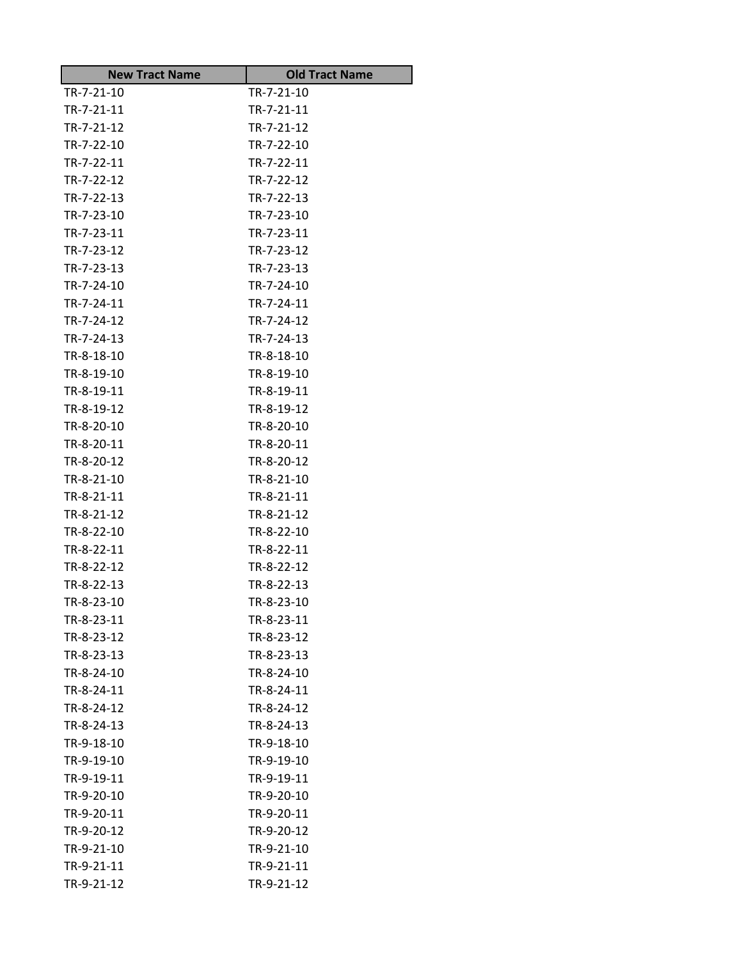| <b>New Tract Name</b> | <b>Old Tract Name</b>    |
|-----------------------|--------------------------|
| TR-7-21-10            | TR-7-21-10               |
| TR-7-21-11            | TR-7-21-11               |
| TR-7-21-12            | TR-7-21-12               |
| TR-7-22-10            | TR-7-22-10               |
| TR-7-22-11            | TR-7-22-11               |
| TR-7-22-12            | TR-7-22-12               |
| TR-7-22-13            | TR-7-22-13               |
| TR-7-23-10            | TR-7-23-10               |
| TR-7-23-11            | TR-7-23-11               |
| TR-7-23-12            | TR-7-23-12               |
| TR-7-23-13            | TR-7-23-13               |
| TR-7-24-10            | TR-7-24-10               |
| TR-7-24-11            | TR-7-24-11               |
| TR-7-24-12            | TR-7-24-12               |
| TR-7-24-13            | TR-7-24-13               |
| TR-8-18-10            | TR-8-18-10               |
| TR-8-19-10            | TR-8-19-10               |
| TR-8-19-11            | TR-8-19-11               |
| TR-8-19-12            | TR-8-19-12               |
| TR-8-20-10            | TR-8-20-10               |
| TR-8-20-11            | TR-8-20-11               |
| TR-8-20-12            | TR-8-20-12               |
| TR-8-21-10            | TR-8-21-10               |
| TR-8-21-11            | TR-8-21-11               |
| TR-8-21-12            | TR-8-21-12               |
| TR-8-22-10            | TR-8-22-10               |
| TR-8-22-11            | TR-8-22-11               |
| TR-8-22-12            | TR-8-22-12               |
| TR-8-22-13            | TR-8-22-13               |
| TR-8-23-10            | TR-8-23-10               |
| TR-8-23-11            | TR-8-23-11               |
| TR-8-23-12            | TR-8-23-12               |
| TR-8-23-13            | TR-8-23-13               |
| TR-8-24-10            | TR-8-24-10               |
| TR-8-24-11            | TR-8-24-11               |
| TR-8-24-12            | TR-8-24-12               |
| TR-8-24-13            | TR-8-24-13               |
| TR-9-18-10            | TR-9-18-10               |
| TR-9-19-10            | TR-9-19-10               |
| TR-9-19-11            | TR-9-19-11               |
| TR-9-20-10            | TR-9-20-10               |
| TR-9-20-11            | TR-9-20-11               |
| TR-9-20-12            | TR-9-20-12               |
| TR-9-21-10            | TR-9-21-10<br>TR-9-21-11 |
| TR-9-21-11            |                          |
| TR-9-21-12            | TR-9-21-12               |